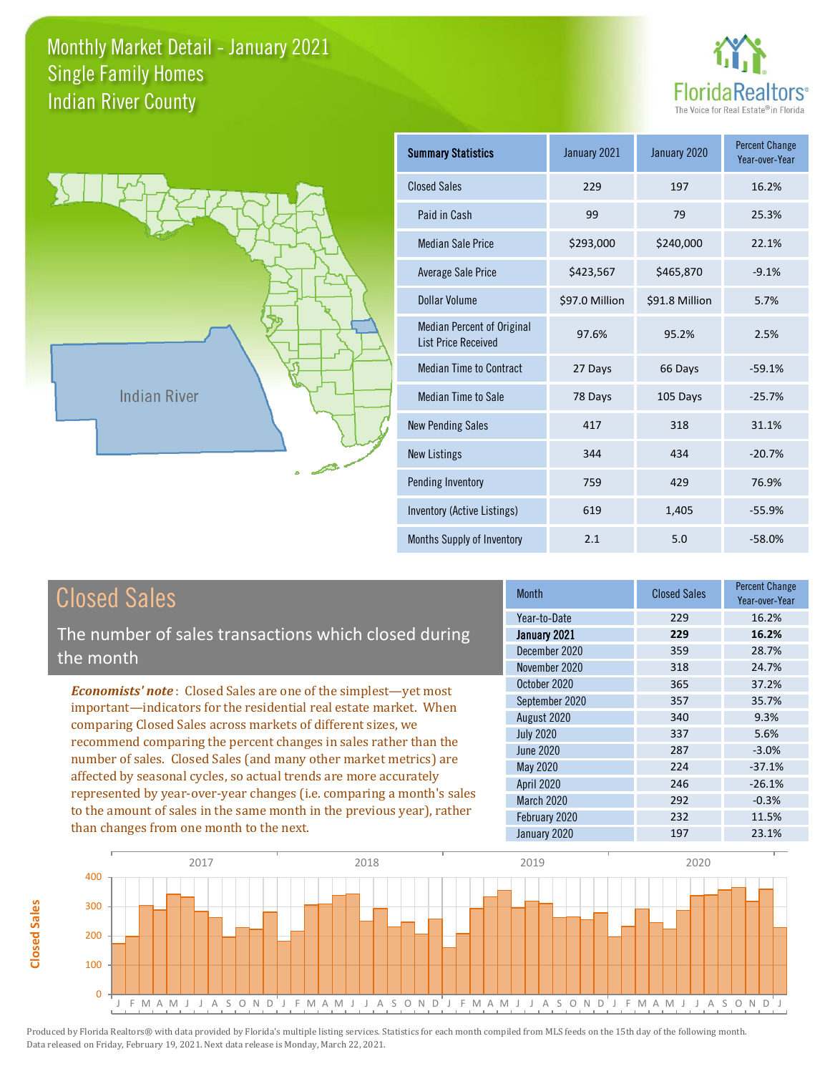



**Closed Sales**

**Closed Sales** 

| <b>Summary Statistics</b>                                       | January 2021   | January 2020   | <b>Percent Change</b><br>Year-over-Year |
|-----------------------------------------------------------------|----------------|----------------|-----------------------------------------|
| <b>Closed Sales</b>                                             | 229            | 197            | 16.2%                                   |
| Paid in Cash                                                    | 99             | 79             | 25.3%                                   |
| <b>Median Sale Price</b>                                        | \$293,000      | \$240,000      | 22.1%                                   |
| Average Sale Price                                              | \$423,567      | \$465,870      | $-9.1%$                                 |
| Dollar Volume                                                   | \$97.0 Million | \$91.8 Million | 5.7%                                    |
| <b>Median Percent of Original</b><br><b>List Price Received</b> | 97.6%          | 95.2%          | 2.5%                                    |
| <b>Median Time to Contract</b>                                  | 27 Days        | 66 Days        | $-59.1%$                                |
| Median Time to Sale                                             | 78 Days        | 105 Days       | $-25.7%$                                |
| <b>New Pending Sales</b>                                        | 417            | 318            | 31.1%                                   |
| <b>New Listings</b>                                             | 344            | 434            | $-20.7%$                                |
| Pending Inventory                                               | 759            | 429            | 76.9%                                   |
| Inventory (Active Listings)                                     | 619            | 1,405          | $-55.9%$                                |
| Months Supply of Inventory                                      | 2.1            | 5.0            | $-58.0%$                                |

| <b>Closed Sales</b>                                                                                                                                                                                             | <b>Month</b>      | <b>Closed Sales</b> | <b>Percent Change</b><br>Year-over-Year |
|-----------------------------------------------------------------------------------------------------------------------------------------------------------------------------------------------------------------|-------------------|---------------------|-----------------------------------------|
|                                                                                                                                                                                                                 | Year-to-Date      | 229                 | 16.2%                                   |
| The number of sales transactions which closed during                                                                                                                                                            | January 2021      | 229                 | 16.2%                                   |
| the month                                                                                                                                                                                                       | December 2020     | 359                 | 28.7%                                   |
|                                                                                                                                                                                                                 | November 2020     | 318                 | 24.7%                                   |
| <b>Economists' note:</b> Closed Sales are one of the simplest—yet most<br>important—indicators for the residential real estate market. When<br>comparing Closed Sales across markets of different sizes, we     | October 2020      | 365                 | 37.2%                                   |
|                                                                                                                                                                                                                 | September 2020    | 357                 | 35.7%                                   |
|                                                                                                                                                                                                                 | August 2020       | 340                 | 9.3%                                    |
| recommend comparing the percent changes in sales rather than the                                                                                                                                                | <b>July 2020</b>  | 337                 | 5.6%                                    |
|                                                                                                                                                                                                                 | June 2020         | 287                 | $-3.0%$                                 |
| number of sales. Closed Sales (and many other market metrics) are<br>affected by seasonal cycles, so actual trends are more accurately<br>represented by year-over-year changes (i.e. comparing a month's sales | May 2020          | 224                 | $-37.1%$                                |
|                                                                                                                                                                                                                 | <b>April 2020</b> | 246                 | $-26.1%$                                |
|                                                                                                                                                                                                                 | <b>March 2020</b> | 292                 | $-0.3%$                                 |
| to the amount of sales in the same month in the previous year), rather                                                                                                                                          | February 2020     | 232                 | 11.5%                                   |
| than changes from one month to the next.                                                                                                                                                                        | January 2020      | 197                 | 23.1%                                   |

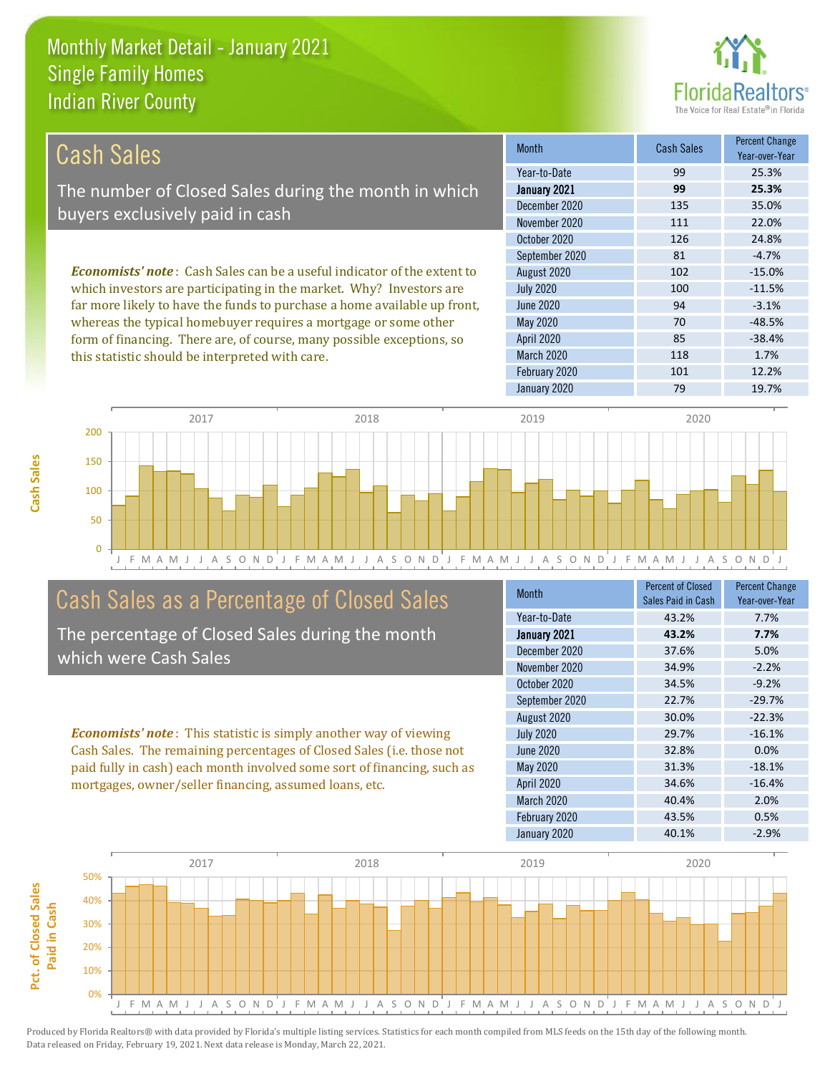this statistic should be interpreted with care.



118 1.7%

| Cash Sales                                                                     | <b>Month</b>      | <b>Cash Sales</b> | <b>Percent Change</b><br>Year-over-Year |
|--------------------------------------------------------------------------------|-------------------|-------------------|-----------------------------------------|
|                                                                                | Year-to-Date      | 99                | 25.3%                                   |
| The number of Closed Sales during the month in which                           | January 2021      | 99                | 25.3%                                   |
| buyers exclusively paid in cash                                                | December 2020     | 135               | 35.0%                                   |
|                                                                                | November 2020     | 111               | 22.0%                                   |
|                                                                                | October 2020      | 126               | 24.8%                                   |
|                                                                                | September 2020    | 81                | $-4.7%$                                 |
| <b>Economists' note:</b> Cash Sales can be a useful indicator of the extent to | August 2020       | 102               | $-15.0%$                                |
| which investors are participating in the market. Why? Investors are            | <b>July 2020</b>  | 100               | $-11.5%$                                |
| far more likely to have the funds to purchase a home available up front,       | June 2020         | 94                | $-3.1%$                                 |
| whereas the typical homebuyer requires a mortgage or some other                | May 2020          | 70                | $-48.5%$                                |
| form of financing. There are, of course, many possible exceptions, so          | <b>April 2020</b> | 85                | $-38.4%$                                |



# Cash Sales as a Percentage of Closed Sales

The percentage of Closed Sales during the month which were Cash Sales

*Economists' note* : This statistic is simply another way of viewing Cash Sales. The remaining percentages of Closed Sales (i.e. those not paid fully in cash) each month involved some sort of financing, such as mortgages, owner/seller financing, assumed loans, etc.

| <b>Month</b>      | <b>Percent of Closed</b><br>Sales Paid in Cash | <b>Percent Change</b><br>Year-over-Year |
|-------------------|------------------------------------------------|-----------------------------------------|
| Year-to-Date      | 43.2%                                          | 7.7%                                    |
| January 2021      | 43.2%                                          | 7.7%                                    |
| December 2020     | 37.6%                                          | 5.0%                                    |
| November 2020     | 34.9%                                          | $-2.2%$                                 |
| October 2020      | 34.5%                                          | $-9.2%$                                 |
| September 2020    | 22.7%                                          | $-29.7%$                                |
| August 2020       | 30.0%                                          | $-22.3%$                                |
| <b>July 2020</b>  | 29.7%                                          | $-16.1%$                                |
| <b>June 2020</b>  | 32.8%                                          | 0.0%                                    |
| <b>May 2020</b>   | 31.3%                                          | $-18.1%$                                |
| <b>April 2020</b> | 34.6%                                          | $-16.4%$                                |
| March 2020        | 40.4%                                          | 2.0%                                    |
| February 2020     | 43.5%                                          | 0.5%                                    |
| January 2020      | 40.1%                                          | $-2.9%$                                 |

January 2020 79 79 19.7%

February 2020 101 101 12.2%

March 2020

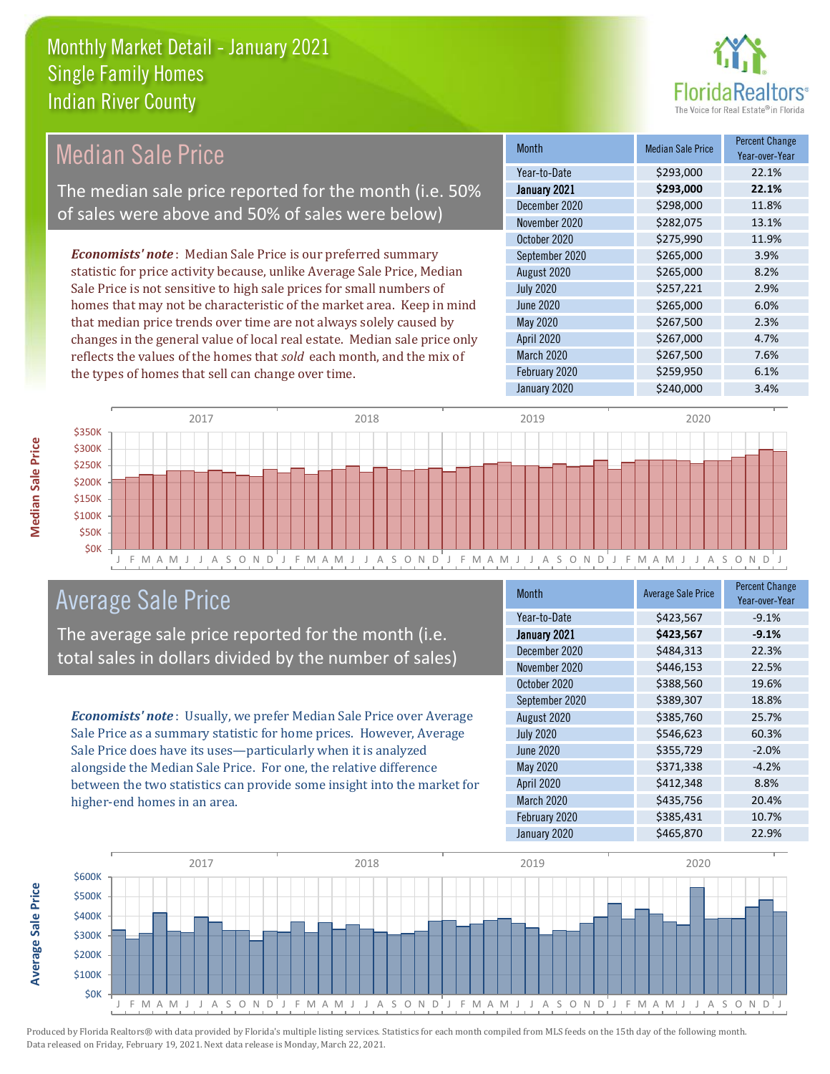

#### Month Median Sale Price Percent Change Year-over-Year January 2021 **\$293,000 22.1%** Year-to-Date \$293,000 22.1% June 2020 \$265,000 \$265,000 6.0% December 2020 \$298,000 11.8% November 2020 \$282,075 13.1% August 2020 \$265,000 8.2% July 2020 \$257,221 2.9% October 2020 **\$275,990** 11.9% September 2020 \$265,000 \$265,000 May 2020 \$267,500 2.3% April 2020 \$267,000 4.7% March 2020 \$267,500 7.6% February 2020 \$259,950 6.1% January 2020 \$240,000 \$240,000 3.4% *Economists' note* : Median Sale Price is our preferred summary statistic for price activity because, unlike Average Sale Price, Median Sale Price is not sensitive to high sale prices for small numbers of homes that may not be characteristic of the market area. Keep in mind that median price trends over time are not always solely caused by changes in the general value of local real estate. Median sale price only reflects the values of the homes that *sold* each month, and the mix of the types of homes that sell can change over time. Median Sale Price The median sale price reported for the month (i.e. 50% of sales were above and 50% of sales were below)



# Average Sale Price

The average sale price reported for the month (i.e. total sales in dollars divided by the number of sales)

*Economists' note* : Usually, we prefer Median Sale Price over Average Sale Price as a summary statistic for home prices. However, Average Sale Price does have its uses—particularly when it is analyzed alongside the Median Sale Price. For one, the relative difference between the two statistics can provide some insight into the market for higher-end homes in an area.

| <b>Month</b>     | <b>Average Sale Price</b> | <b>Percent Change</b><br>Year-over-Year |
|------------------|---------------------------|-----------------------------------------|
| Year-to-Date     | \$423,567                 | $-9.1%$                                 |
| January 2021     | \$423,567                 | $-9.1%$                                 |
| December 2020    | \$484,313                 | 22.3%                                   |
| November 2020    | \$446,153                 | 22.5%                                   |
| October 2020     | \$388,560                 | 19.6%                                   |
| September 2020   | \$389,307                 | 18.8%                                   |
| August 2020      | \$385,760                 | 25.7%                                   |
| <b>July 2020</b> | \$546,623                 | 60.3%                                   |
| <b>June 2020</b> | \$355,729                 | $-2.0%$                                 |
| May 2020         | \$371,338                 | $-4.2%$                                 |
| April 2020       | \$412,348                 | 8.8%                                    |
| March 2020       | \$435,756                 | 20.4%                                   |
| February 2020    | \$385,431                 | 10.7%                                   |
| January 2020     | \$465,870                 | 22.9%                                   |

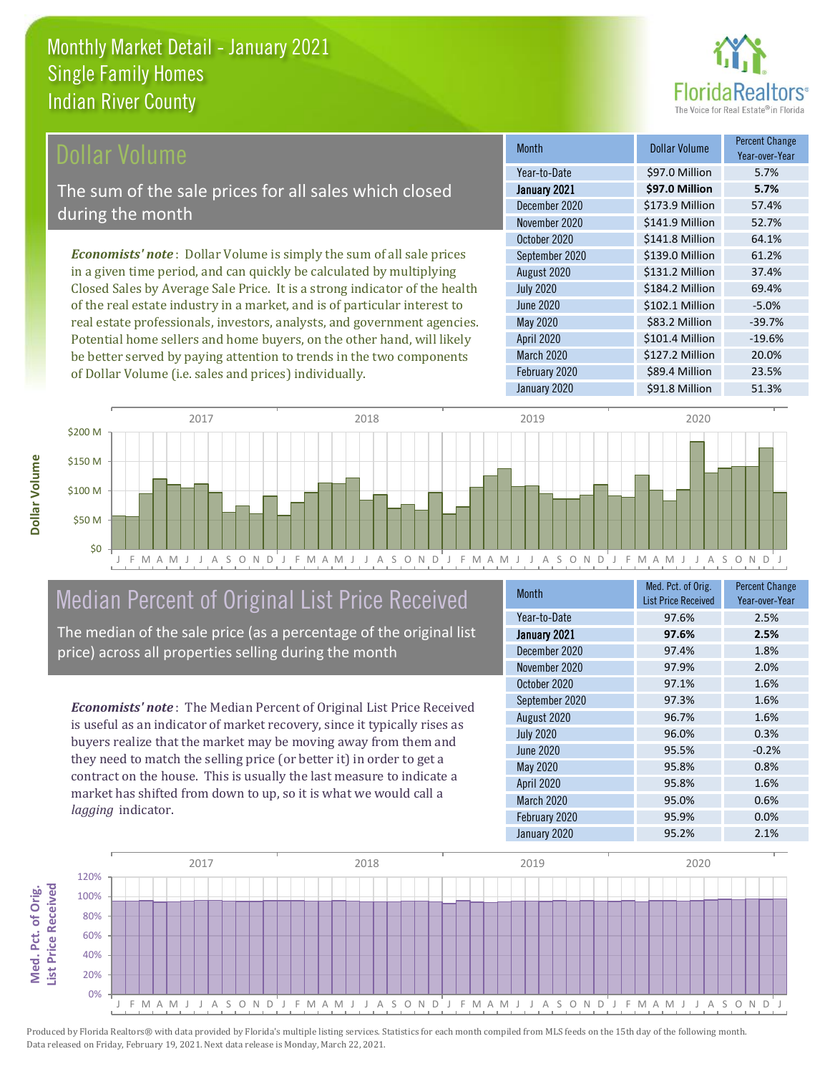

### Dollar Volume

The sum of the sale prices for all sales which closed during the month

*Economists' note* : Dollar Volume is simply the sum of all sale prices in a given time period, and can quickly be calculated by multiplying Closed Sales by Average Sale Price. It is a strong indicator of the health of the real estate industry in a market, and is of particular interest to real estate professionals, investors, analysts, and government agencies. Potential home sellers and home buyers, on the other hand, will likely be better served by paying attention to trends in the two components of Dollar Volume (i.e. sales and prices) individually.

| <b>Month</b>     | Dollar Volume   | <b>Percent Change</b><br>Year-over-Year |
|------------------|-----------------|-----------------------------------------|
| Year-to-Date     | \$97.0 Million  | 5.7%                                    |
| January 2021     | \$97.0 Million  | 5.7%                                    |
| December 2020    | \$173.9 Million | 57.4%                                   |
| November 2020    | \$141.9 Million | 52.7%                                   |
| October 2020     | \$141.8 Million | 64.1%                                   |
| September 2020   | \$139.0 Million | 61.2%                                   |
| August 2020      | \$131.2 Million | 37.4%                                   |
| <b>July 2020</b> | \$184.2 Million | 69.4%                                   |
| <b>June 2020</b> | \$102.1 Million | $-5.0%$                                 |
| <b>May 2020</b>  | \$83.2 Million  | $-39.7%$                                |
| April 2020       | \$101.4 Million | $-19.6%$                                |
| March 2020       | \$127.2 Million | 20.0%                                   |
| February 2020    | \$89.4 Million  | 23.5%                                   |
| January 2020     | \$91.8 Million  | 51.3%                                   |



# Median Percent of Original List Price Received

The median of the sale price (as a percentage of the original list price) across all properties selling during the month

*Economists' note* : The Median Percent of Original List Price Received is useful as an indicator of market recovery, since it typically rises as buyers realize that the market may be moving away from them and they need to match the selling price (or better it) in order to get a contract on the house. This is usually the last measure to indicate a market has shifted from down to up, so it is what we would call a *lagging* indicator.

| <b>Month</b>     | Med. Pct. of Orig.<br><b>List Price Received</b> | <b>Percent Change</b><br>Year-over-Year |
|------------------|--------------------------------------------------|-----------------------------------------|
| Year-to-Date     | 97.6%                                            | 2.5%                                    |
| January 2021     | 97.6%                                            | 2.5%                                    |
| December 2020    | 97.4%                                            | 1.8%                                    |
| November 2020    | 97.9%                                            | 2.0%                                    |
| October 2020     | 97.1%                                            | 1.6%                                    |
| September 2020   | 97.3%                                            | 1.6%                                    |
| August 2020      | 96.7%                                            | 1.6%                                    |
| <b>July 2020</b> | 96.0%                                            | 0.3%                                    |
| <b>June 2020</b> | 95.5%                                            | $-0.2%$                                 |
| <b>May 2020</b>  | 95.8%                                            | 0.8%                                    |
| April 2020       | 95.8%                                            | 1.6%                                    |
| March 2020       | 95.0%                                            | 0.6%                                    |
| February 2020    | 95.9%                                            | 0.0%                                    |
| January 2020     | 95.2%                                            | 2.1%                                    |

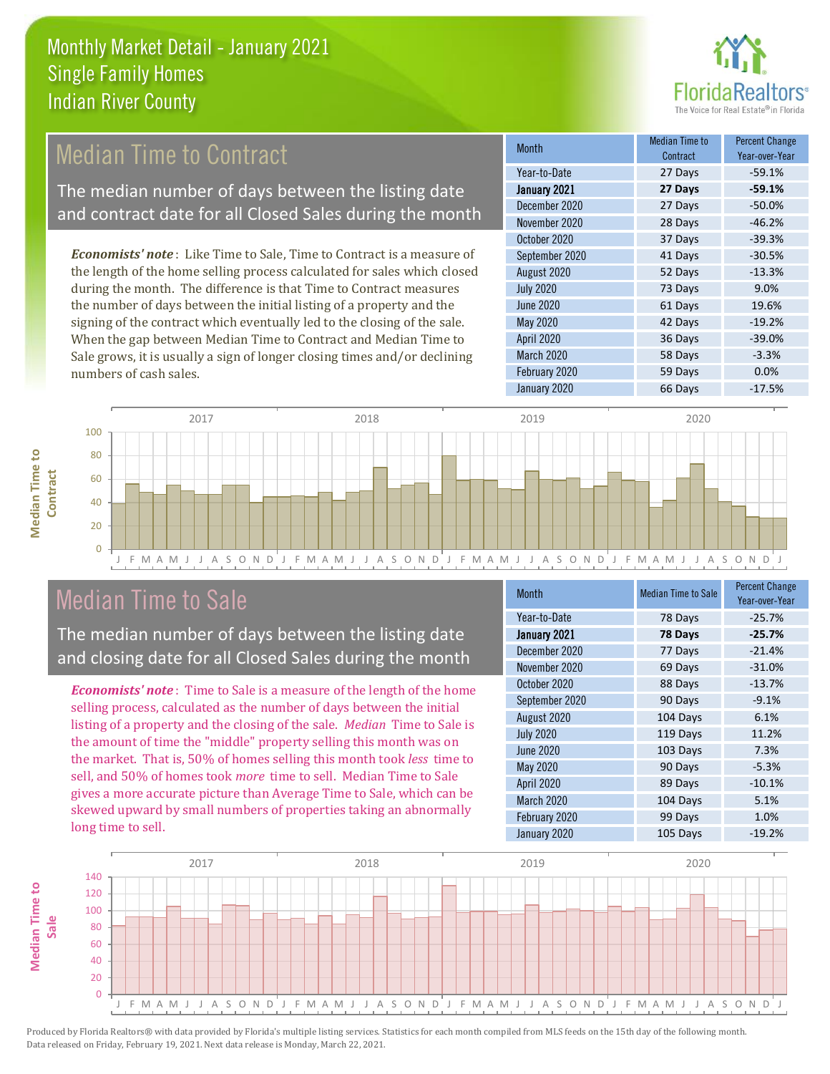

# **Median Time to Contract**

The median number of days between the listing date and contract date for all Closed Sales during the month

*Economists' note* : Like Time to Sale, Time to Contract is a measure of the length of the home selling process calculated for sales which closed during the month. The difference is that Time to Contract measures the number of days between the initial listing of a property and the signing of the contract which eventually led to the closing of the sale. When the gap between Median Time to Contract and Median Time to Sale grows, it is usually a sign of longer closing times and/or declining numbers of cash sales.

| <b>Month</b>     | Median Time to<br>Contract | <b>Percent Change</b><br>Year-over-Year |
|------------------|----------------------------|-----------------------------------------|
| Year-to-Date     | 27 Days                    | $-59.1%$                                |
| January 2021     | 27 Days                    | $-59.1%$                                |
| December 2020    | 27 Days                    | $-50.0%$                                |
| November 2020    | 28 Days                    | $-46.2%$                                |
| October 2020     | 37 Days                    | $-39.3%$                                |
| September 2020   | 41 Days                    | $-30.5%$                                |
| August 2020      | 52 Days                    | $-13.3%$                                |
| <b>July 2020</b> | 73 Days                    | 9.0%                                    |
| <b>June 2020</b> | 61 Days                    | 19.6%                                   |
| <b>May 2020</b>  | 42 Days                    | $-19.2%$                                |
| April 2020       | 36 Days                    | $-39.0%$                                |
| March 2020       | 58 Days                    | $-3.3%$                                 |
| February 2020    | 59 Days                    | 0.0%                                    |
| January 2020     | 66 Days                    | $-17.5%$                                |





# Median Time to Sale

The median number of days between the listing date and closing date for all Closed Sales during the month

*Economists' note* : Time to Sale is a measure of the length of the home selling process, calculated as the number of days between the initial listing of a property and the closing of the sale. *Median* Time to Sale is the amount of time the "middle" property selling this month was on the market. That is, 50% of homes selling this month took *less* time to sell, and 50% of homes took *more* time to sell. Median Time to Sale gives a more accurate picture than Average Time to Sale, which can be skewed upward by small numbers of properties taking an abnormally long time to sell.

| Month            | <b>Median Time to Sale</b> | <b>Percent Change</b><br>Year-over-Year |
|------------------|----------------------------|-----------------------------------------|
| Year-to-Date     | 78 Days                    | $-25.7%$                                |
| January 2021     | 78 Days                    | $-25.7%$                                |
| December 2020    | 77 Days                    | $-21.4%$                                |
| November 2020    | 69 Days                    | $-31.0%$                                |
| October 2020     | 88 Days                    | $-13.7%$                                |
| September 2020   | 90 Days                    | $-9.1%$                                 |
| August 2020      | 104 Days                   | 6.1%                                    |
| <b>July 2020</b> | 119 Days                   | 11.2%                                   |
| <b>June 2020</b> | 103 Days                   | 7.3%                                    |
| <b>May 2020</b>  | 90 Days                    | $-5.3%$                                 |
| April 2020       | 89 Days                    | $-10.1%$                                |
| March 2020       | 104 Days                   | 5.1%                                    |
| February 2020    | 99 Days                    | 1.0%                                    |
| January 2020     | 105 Days                   | $-19.2%$                                |

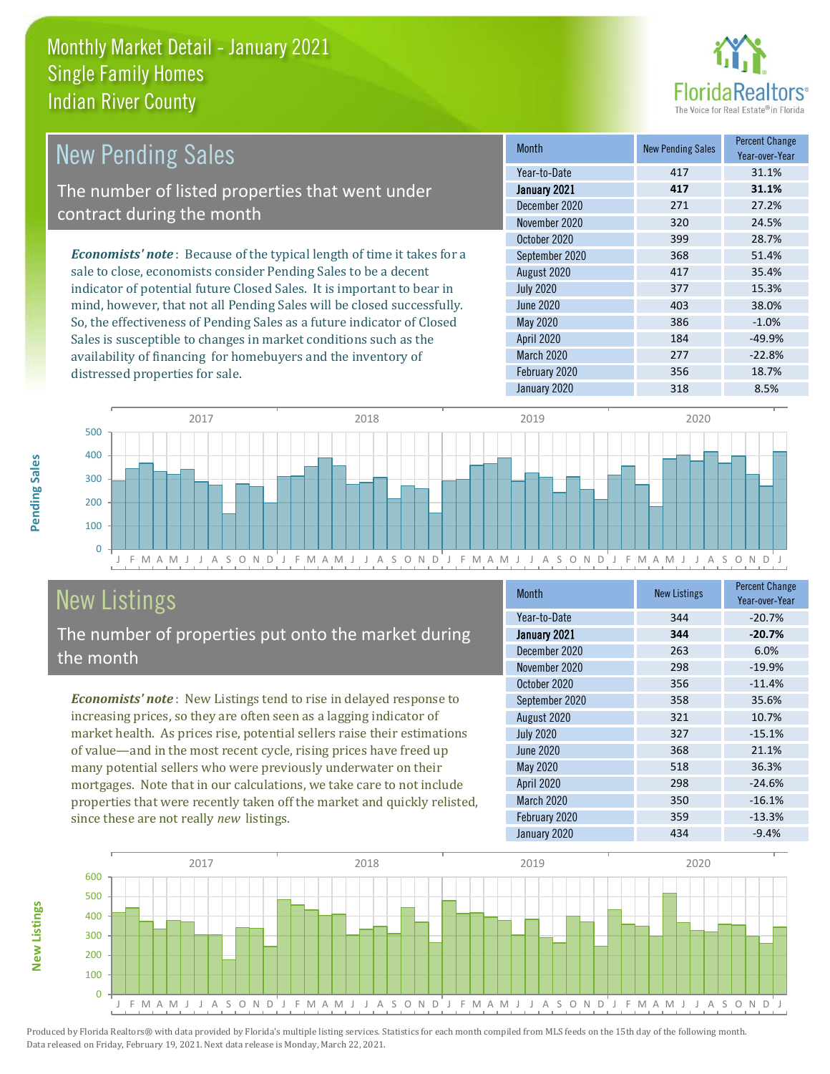

| <b>New Pending Sales</b>                                                       | <b>Month</b>      | <b>New Pending Sales</b> | <b>Percent Change</b><br>Year-over-Year |
|--------------------------------------------------------------------------------|-------------------|--------------------------|-----------------------------------------|
|                                                                                | Year-to-Date      | 417                      | 31.1%                                   |
| The number of listed properties that went under                                | January 2021      | 417                      | 31.1%                                   |
| contract during the month                                                      | December 2020     | 271                      | 27.2%                                   |
|                                                                                | November 2020     | 320                      | 24.5%                                   |
|                                                                                | October 2020      | 399                      | 28.7%                                   |
| <b>Economists' note</b> : Because of the typical length of time it takes for a | September 2020    | 368                      | 51.4%                                   |
| sale to close, economists consider Pending Sales to be a decent                | August 2020       | 417                      | 35.4%                                   |
| indicator of potential future Closed Sales. It is important to bear in         | <b>July 2020</b>  | 377                      | 15.3%                                   |
| mind, however, that not all Pending Sales will be closed successfully.         | June 2020         | 403                      | 38.0%                                   |
| So, the effectiveness of Pending Sales as a future indicator of Closed         | May 2020          | 386                      | $-1.0\%$                                |
| Sales is susceptible to changes in market conditions such as the               | <b>April 2020</b> | 184                      | $-49.9%$                                |



# New Listings

**New Listings**

**Pending Sales**

Pending Sales

distressed properties for sale.

The number of properties put onto the market during the month

availability of financing for homebuyers and the inventory of

*Economists' note* : New Listings tend to rise in delayed response to increasing prices, so they are often seen as a lagging indicator of market health. As prices rise, potential sellers raise their estimations of value—and in the most recent cycle, rising prices have freed up many potential sellers who were previously underwater on their mortgages. Note that in our calculations, we take care to not include properties that were recently taken off the market and quickly relisted, since these are not really *new* listings.

| <b>Month</b>     | <b>New Listings</b> | <b>Percent Change</b><br>Year-over-Year |
|------------------|---------------------|-----------------------------------------|
| Year-to-Date     | 344                 | $-20.7%$                                |
| January 2021     | 344                 | $-20.7%$                                |
| December 2020    | 263                 | 6.0%                                    |
| November 2020    | 298                 | $-19.9%$                                |
| October 2020     | 356                 | $-11.4%$                                |
| September 2020   | 358                 | 35.6%                                   |
| August 2020      | 321                 | 10.7%                                   |
| <b>July 2020</b> | 327                 | $-15.1%$                                |
| <b>June 2020</b> | 368                 | 21.1%                                   |
| May 2020         | 518                 | 36.3%                                   |
| April 2020       | 298                 | $-24.6%$                                |
| March 2020       | 350                 | $-16.1%$                                |
| February 2020    | 359                 | $-13.3%$                                |
| January 2020     | 434                 | $-9.4%$                                 |

March 2020 277 202.8% February 2020 356 356 18.7% January 2020 318 318 8.5%

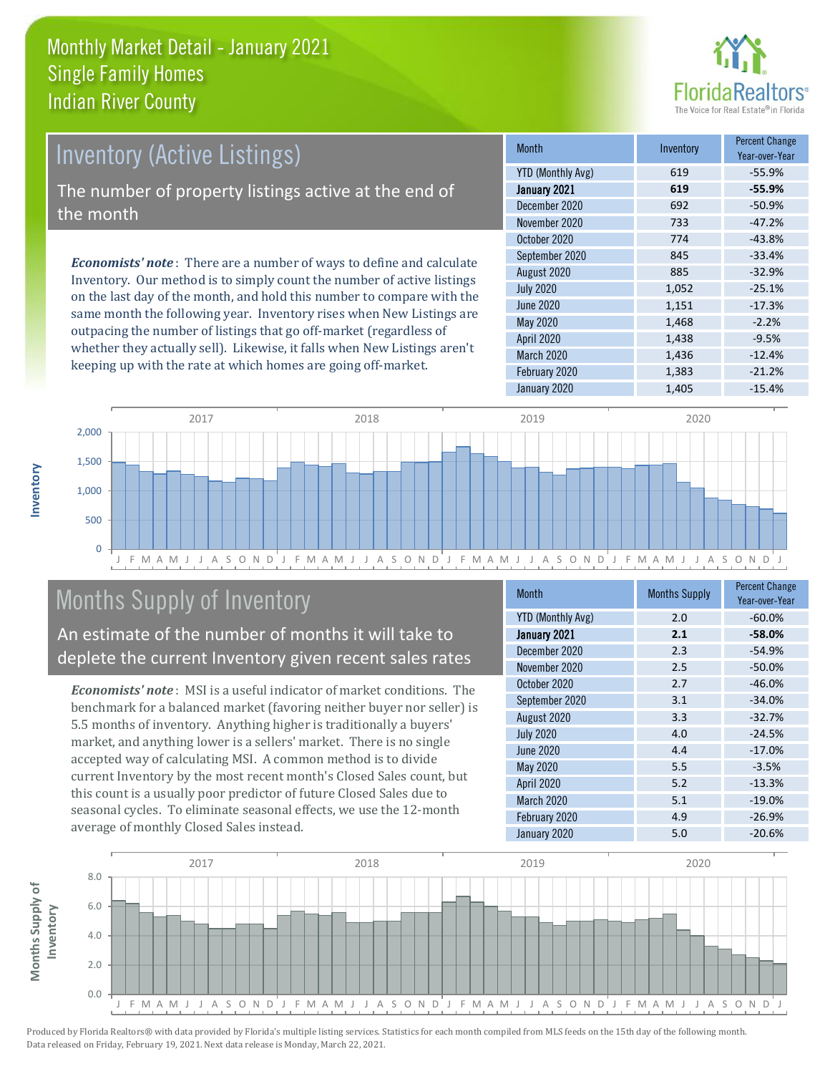

# Inventory (Active Listings)

The number of property listings active at the end of the month

*Economists' note* : There are a number of ways to define and calculate Inventory. Our method is to simply count the number of active listings on the last day of the month, and hold this number to compare with the same month the following year. Inventory rises when New Listings are outpacing the number of listings that go off-market (regardless of whether they actually sell). Likewise, it falls when New Listings aren't keeping up with the rate at which homes are going off-market.

| <b>Month</b>      | Inventory | <b>Percent Change</b><br>Year-over-Year |
|-------------------|-----------|-----------------------------------------|
| YTD (Monthly Avg) | 619       | $-55.9%$                                |
| January 2021      | 619       | $-55.9%$                                |
| December 2020     | 692       | $-50.9%$                                |
| November 2020     | 733       | $-47.2%$                                |
| October 2020      | 774       | $-43.8%$                                |
| September 2020    | 845       | $-33.4%$                                |
| August 2020       | 885       | $-32.9%$                                |
| <b>July 2020</b>  | 1,052     | $-25.1%$                                |
| June 2020         | 1,151     | $-17.3%$                                |
| <b>May 2020</b>   | 1,468     | $-2.2%$                                 |
| April 2020        | 1,438     | $-9.5%$                                 |
| March 2020        | 1,436     | $-12.4%$                                |
| February 2020     | 1,383     | $-21.2%$                                |
| January 2020      | 1,405     | $-15.4%$                                |



# Months Supply of Inventory

An estimate of the number of months it will take to deplete the current Inventory given recent sales rates

*Economists' note* : MSI is a useful indicator of market conditions. The benchmark for a balanced market (favoring neither buyer nor seller) is 5.5 months of inventory. Anything higher is traditionally a buyers' market, and anything lower is a sellers' market. There is no single accepted way of calculating MSI. A common method is to divide current Inventory by the most recent month's Closed Sales count, but this count is a usually poor predictor of future Closed Sales due to seasonal cycles. To eliminate seasonal effects, we use the 12-month average of monthly Closed Sales instead.

| Month                    | <b>Months Supply</b> | <b>Percent Change</b><br>Year-over-Year |
|--------------------------|----------------------|-----------------------------------------|
| <b>YTD (Monthly Avg)</b> | 2.0                  | $-60.0%$                                |
| January 2021             | 2.1                  | $-58.0%$                                |
| December 2020            | 2.3                  | $-54.9%$                                |
| November 2020            | 2.5                  | $-50.0%$                                |
| October 2020             | 2.7                  | $-46.0%$                                |
| September 2020           | 3.1                  | $-34.0%$                                |
| August 2020              | 3.3                  | $-32.7%$                                |
| <b>July 2020</b>         | 4.0                  | $-24.5%$                                |
| <b>June 2020</b>         | 4.4                  | $-17.0%$                                |
| <b>May 2020</b>          | 5.5                  | $-3.5%$                                 |
| <b>April 2020</b>        | 5.2                  | $-13.3%$                                |
| March 2020               | 5.1                  | $-19.0%$                                |
| February 2020            | 4.9                  | $-26.9%$                                |
| January 2020             | 5.0                  | $-20.6%$                                |

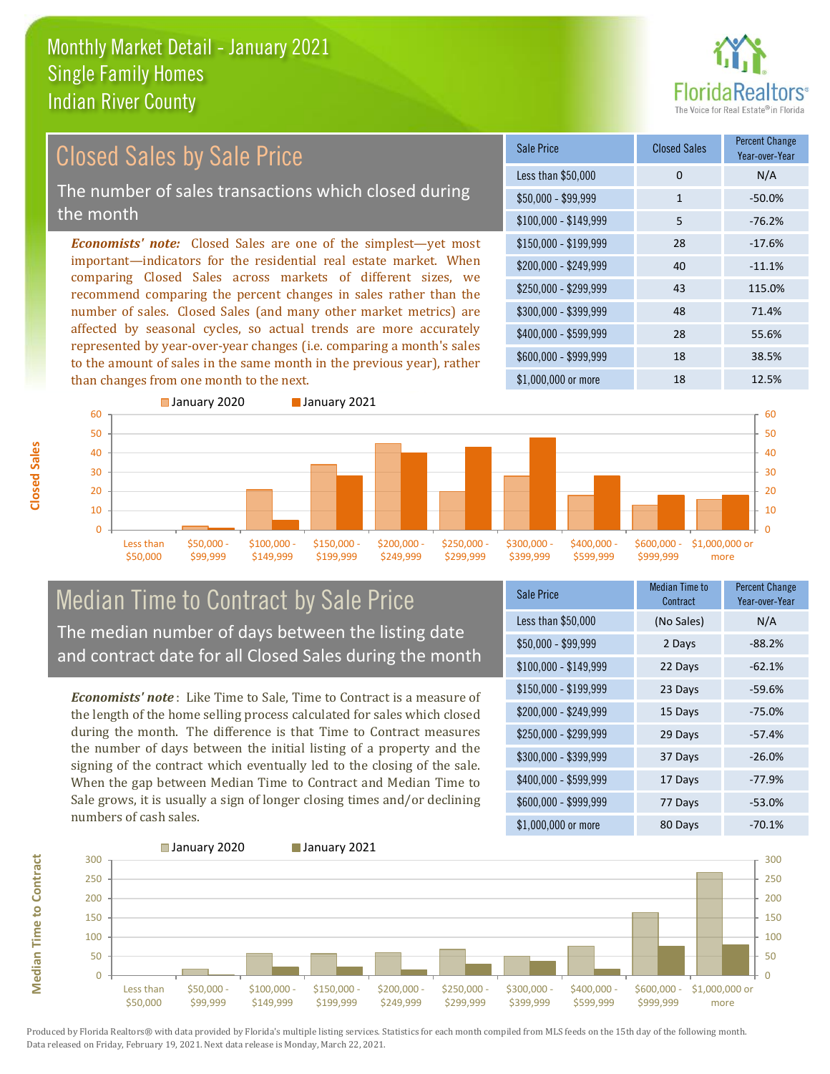

#### *Economists' note:* Closed Sales are one of the simplest—yet most important—indicators for the residential real estate market. When comparing Closed Sales across markets of different sizes, we recommend comparing the percent changes in sales rather than the number of sales. Closed Sales (and many other market metrics) are affected by seasonal cycles, so actual trends are more accurately represented by year-over-year changes (i.e. comparing a month's sales to the amount of sales in the same month in the previous year), rather than changes from one month to the next. \$1,000,000 or more 18 12.5% \$250,000 - \$299,999 43 115.0% \$300,000 - \$399,999 48 71.4% \$400,000 - \$599,999 28 55.6% \$600,000 - \$999,999 18 38.5% \$150,000 - \$199,999 28 -17.6% \$200,000 - \$249,999 40 -11.1% \$100,000 - \$149,999 5 -76.2% Sale Price Closed Sales Percent Change Year-over-Year Less than \$50,000 0 0 N/A  $$50.000 - $99.999$  1 -50.0% Closed Sales by Sale Price The number of sales transactions which closed during the month



### Median Time to Contract by Sale Price The median number of days between the listing date and contract date for all Closed Sales during the month

*Economists' note* : Like Time to Sale, Time to Contract is a measure of the length of the home selling process calculated for sales which closed during the month. The difference is that Time to Contract measures the number of days between the initial listing of a property and the signing of the contract which eventually led to the closing of the sale. When the gap between Median Time to Contract and Median Time to Sale grows, it is usually a sign of longer closing times and/or declining numbers of cash sales.

| <b>Sale Price</b>     | <b>Median Time to</b><br>Contract | <b>Percent Change</b><br>Year-over-Year |
|-----------------------|-----------------------------------|-----------------------------------------|
| Less than \$50,000    | (No Sales)                        | N/A                                     |
| $$50,000 - $99,999$   | 2 Days                            | $-88.2%$                                |
| $$100,000 - $149,999$ | 22 Days                           | $-62.1%$                                |
| $$150,000 - $199,999$ | 23 Days                           | $-59.6%$                                |
| \$200,000 - \$249,999 | 15 Days                           | $-75.0%$                                |
| \$250,000 - \$299,999 | 29 Days                           | $-57.4%$                                |
| \$300,000 - \$399,999 | 37 Days                           | $-26.0%$                                |
| \$400,000 - \$599,999 | 17 Days                           | $-77.9%$                                |
| \$600,000 - \$999,999 | 77 Days                           | $-53.0%$                                |
| \$1,000,000 or more   | 80 Days                           | $-70.1%$                                |



**Closed Sales**

**Median Time to Contract Median Time to Contract**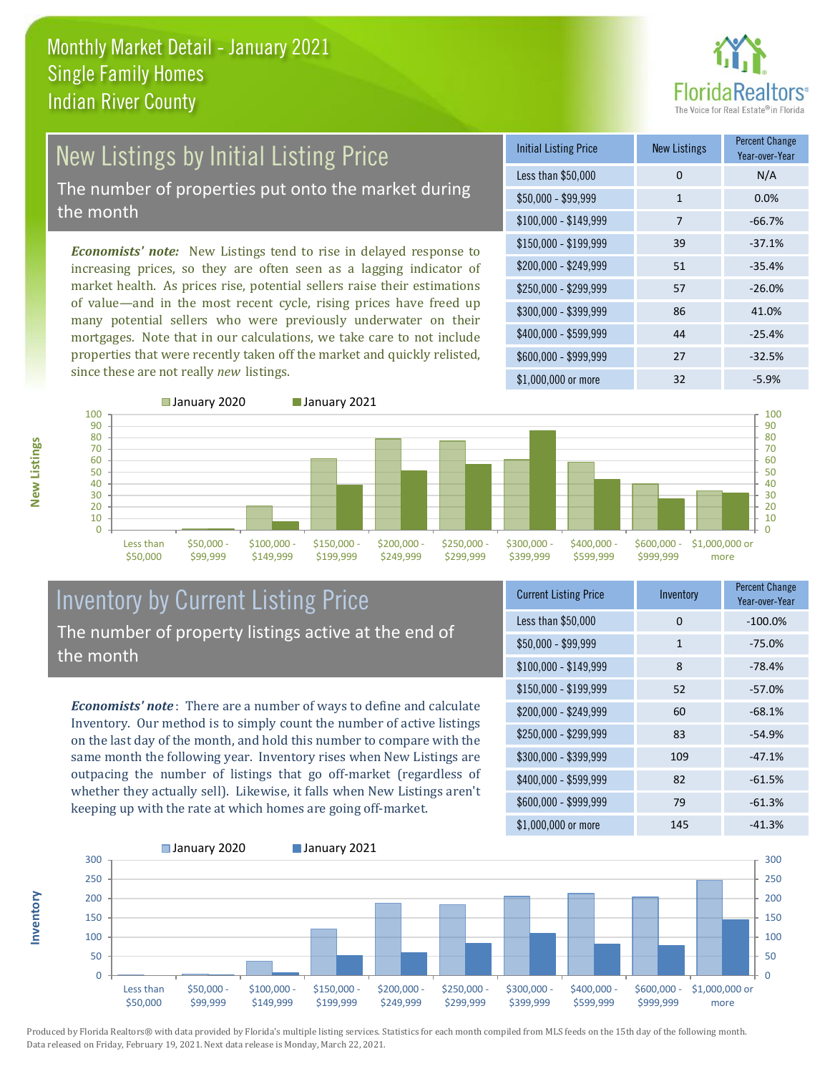

# New Listings by Initial Listing Price The number of properties put onto the market during

the month

*Economists' note:* New Listings tend to rise in delayed response to increasing prices, so they are often seen as a lagging indicator of market health. As prices rise, potential sellers raise their estimations of value—and in the most recent cycle, rising prices have freed up many potential sellers who were previously underwater on their mortgages. Note that in our calculations, we take care to not include properties that were recently taken off the market and quickly relisted, since these are not really *new* listings.

| <b>Initial Listing Price</b> | <b>New Listings</b> | <b>Percent Change</b><br>Year-over-Year |
|------------------------------|---------------------|-----------------------------------------|
| Less than \$50,000           | 0                   | N/A                                     |
| $$50,000 - $99,999$          | 1                   | 0.0%                                    |
| $$100,000 - $149,999$        | 7                   | $-66.7%$                                |
| $$150,000 - $199,999$        | 39                  | $-37.1%$                                |
| \$200,000 - \$249,999        | 51                  | $-35.4%$                                |
| $$250,000 - $299,999$        | 57                  | $-26.0%$                                |
| \$300,000 - \$399,999        | 86                  | 41.0%                                   |
| \$400,000 - \$599,999        | 44                  | $-25.4%$                                |
| \$600,000 - \$999,999        | 27                  | $-32.5%$                                |
| $$1,000,000$ or more         | 32                  | $-5.9%$                                 |



**Inventory**



### Inventory by Current Listing Price The number of property listings active at the end of the month

*Economists' note* : There are a number of ways to define and calculate Inventory. Our method is to simply count the number of active listings on the last day of the month, and hold this number to compare with the same month the following year. Inventory rises when New Listings are outpacing the number of listings that go off-market (regardless of whether they actually sell). Likewise, it falls when New Listings aren't keeping up with the rate at which homes are going off-market.

| <b>Current Listing Price</b> | Inventory    | <b>Percent Change</b><br>Year-over-Year |
|------------------------------|--------------|-----------------------------------------|
| Less than \$50,000           | $\Omega$     | $-100.0%$                               |
| $$50,000 - $99,999$          | $\mathbf{1}$ | $-75.0%$                                |
| $$100,000 - $149,999$        | 8            | $-78.4%$                                |
| $$150,000 - $199,999$        | 52           | $-57.0%$                                |
| \$200,000 - \$249,999        | 60           | $-68.1%$                                |
| \$250,000 - \$299,999        | 83           | $-54.9%$                                |
| \$300,000 - \$399,999        | 109          | $-47.1%$                                |
| \$400,000 - \$599,999        | 82           | $-61.5%$                                |
| \$600,000 - \$999,999        | 79           | $-61.3%$                                |
| \$1,000,000 or more          | 145          | $-41.3%$                                |